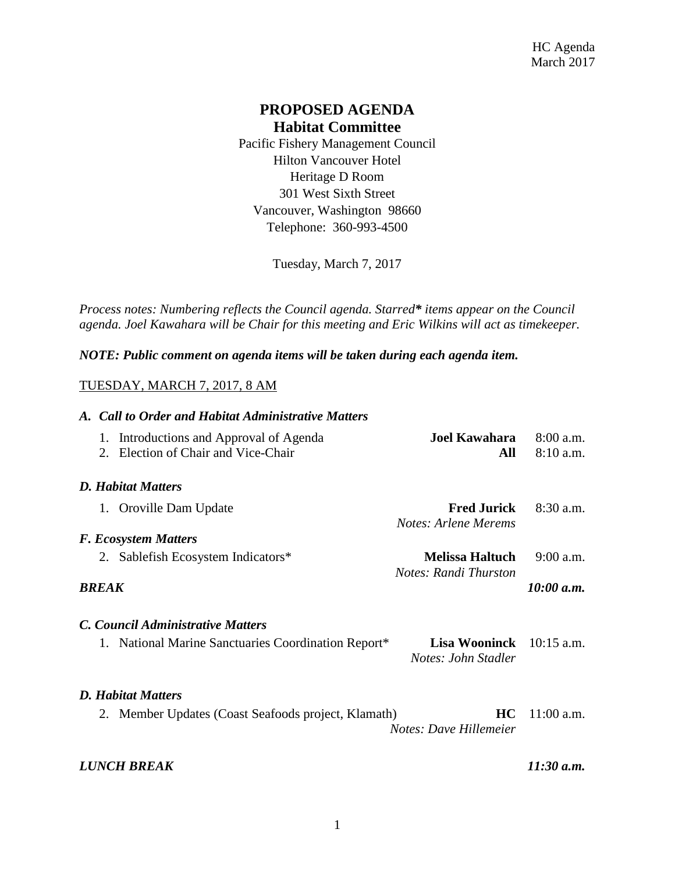# **PROPOSED AGENDA Habitat Committee**

Pacific Fishery Management Council Hilton Vancouver Hotel Heritage D Room 301 West Sixth Street Vancouver, Washington 98660 Telephone: 360-993-4500

Tuesday, March 7, 2017

*Process notes: Numbering reflects the Council agenda. Starred\* items appear on the Council agenda. Joel Kawahara will be Chair for this meeting and Eric Wilkins will act as timekeeper.* 

*NOTE: Public comment on agenda items will be taken during each agenda item.*

## TUESDAY, MARCH 7, 2017, 8 AM

| A. Call to Order and Habitat Administrative Matters |                                                                                |                                                          |                            |
|-----------------------------------------------------|--------------------------------------------------------------------------------|----------------------------------------------------------|----------------------------|
|                                                     | 1. Introductions and Approval of Agenda<br>2. Election of Chair and Vice-Chair | <b>Joel Kawahara</b><br>All                              | $8:00$ a.m.<br>$8:10$ a.m. |
|                                                     | <b>D.</b> Habitat Matters                                                      |                                                          |                            |
|                                                     | 1. Oroville Dam Update                                                         | <b>Fred Jurick</b><br>Notes: Arlene Merems               | $8:30$ a.m.                |
|                                                     | <b>F. Ecosystem Matters</b>                                                    |                                                          |                            |
|                                                     | 2. Sablefish Ecosystem Indicators*                                             | <b>Melissa Haltuch</b><br>Notes: Randi Thurston          | $9:00$ a.m.                |
| BREAK                                               |                                                                                |                                                          | 10:00 a.m.                 |
|                                                     | C. Council Administrative Matters                                              |                                                          |                            |
|                                                     | 1. National Marine Sanctuaries Coordination Report*                            | <b>Lisa Wooninck</b> $10:15$ a.m.<br>Notes: John Stadler |                            |
|                                                     | <b>D. Habitat Matters</b>                                                      |                                                          |                            |
|                                                     | 2. Member Updates (Coast Seafoods project, Klamath)                            | <b>HC</b><br>Notes: Dave Hillemeier                      | $11:00$ a.m.               |
|                                                     | <b>LUNCH BREAK</b>                                                             |                                                          | $11:30$ a.m.               |